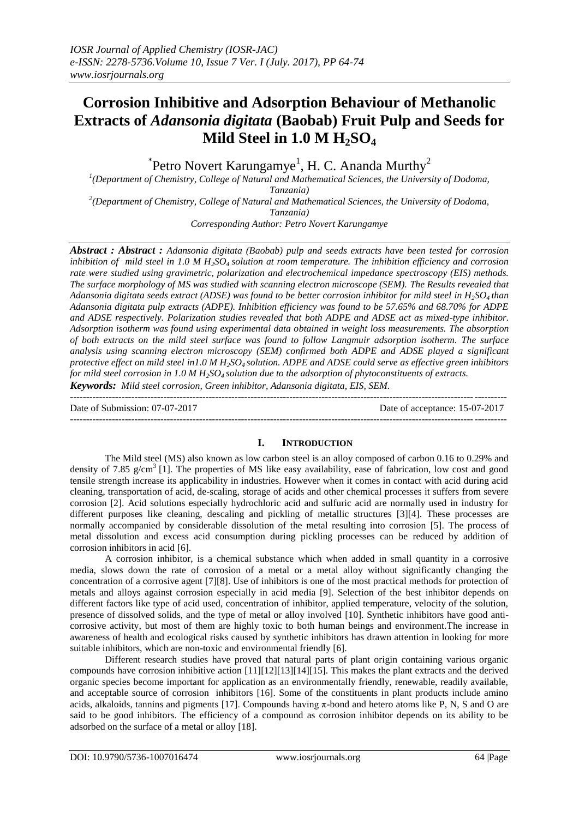# **Corrosion Inhibitive and Adsorption Behaviour of Methanolic Extracts of** *Adansonia digitata* **(Baobab) Fruit Pulp and Seeds for Mild Steel in 1.0 M H2SO<sup>4</sup>**

 $\rm ^{*}$ Petro Novert Karungamye<sup>1</sup>, H. C. Ananda Murthy<sup>2</sup>

*1 (Department of Chemistry, College of Natural and Mathematical Sciences, the University of Dodoma, Tanzania) 2 (Department of Chemistry, College of Natural and Mathematical Sciences, the University of Dodoma,* 

*Tanzania)*

*Corresponding Author: Petro Novert Karungamye*

*Abstract : Abstract : Adansonia digitata (Baobab) pulp and seeds extracts have been tested for corrosion inhibition of mild steel in 1.0 M H2SO4 solution at room temperature. The inhibition efficiency and corrosion rate were studied using gravimetric, polarization and electrochemical impedance spectroscopy (EIS) methods. The surface morphology of MS was studied with scanning electron microscope (SEM). The Results revealed that Adansonia digitata seeds extract (ADSE) was found to be better corrosion inhibitor for mild steel in H2SO4 than Adansonia digitata pulp extracts (ADPE). Inhibition efficiency was found to be 57.65% and 68.70% for ADPE and ADSE respectively. Polarization studies revealed that both ADPE and ADSE act as mixed-type inhibitor. Adsorption isotherm was found using experimental data obtained in weight loss measurements. The absorption of both extracts on the mild steel surface was found to follow Langmuir adsorption isotherm. The surface analysis using scanning electron microscopy (SEM) confirmed both ADPE and ADSE played a significant protective effect on mild steel in1.0 M H2SO4 solution. ADPE and ADSE could serve as effective green inhibitors for mild steel corrosion in 1.0 M H2SO4 solution due to the adsorption of phytoconstituents of extracts. Keywords: Mild steel corrosion, Green inhibitor, Adansonia digitata, EIS, SEM.*

---------------------------------------------------------------------------------------------------------------------------------------

Date of Submission: 07-07-2017 Date of acceptance: 15-07-2017 ---------------------------------------------------------------------------------------------------------------------------------------

# **I. INTRODUCTION**

The Mild steel (MS) also known as low carbon steel is an alloy composed of carbon 0.16 to 0.29% and density of 7.85 g/cm<sup>3</sup> [1]. The properties of MS like easy availability, ease of fabrication, low cost and good tensile strength increase its applicability in industries. However when it comes in contact with acid during acid cleaning, transportation of acid, de-scaling, storage of acids and other chemical processes it suffers from severe corrosion [2]. Acid solutions especially hydrochloric acid and sulfuric acid are normally used in industry for different purposes like cleaning, descaling and pickling of metallic structures [3][4]. These processes are normally accompanied by considerable dissolution of the metal resulting into corrosion [5]. The process of metal dissolution and excess acid consumption during pickling processes can be reduced by addition of corrosion inhibitors in acid [6].

A corrosion inhibitor, is a chemical substance which when added in small quantity in a corrosive media, slows down the rate of corrosion of a metal or a metal alloy without significantly changing the concentration of a corrosive agent [7][8]. Use of inhibitors is one of the most practical methods for protection of metals and alloys against corrosion especially in acid media [9]. Selection of the best inhibitor depends on different factors like type of acid used, concentration of inhibitor, applied temperature, velocity of the solution, presence of dissolved solids, and the type of metal or alloy involved [10]. Synthetic inhibitors have good anticorrosive activity, but most of them are highly toxic to both human beings and environment.The increase in awareness of health and ecological risks caused by synthetic inhibitors has drawn attention in looking for more suitable inhibitors, which are non-toxic and environmental friendly [6].

Different research studies have proved that natural parts of plant origin containing various organic compounds have corrosion inhibitive action [11][12][13][14][15]. This makes the plant extracts and the derived organic species become important for application as an environmentally friendly, renewable, readily available, and acceptable source of corrosion inhibitors [16]. Some of the constituents in plant products include amino acids, alkaloids, tannins and pigments [17]. Compounds having  $\pi$ -bond and hetero atoms like P, N, S and O are said to be good inhibitors. The efficiency of a compound as corrosion inhibitor depends on its ability to be adsorbed on the surface of a metal or alloy [18].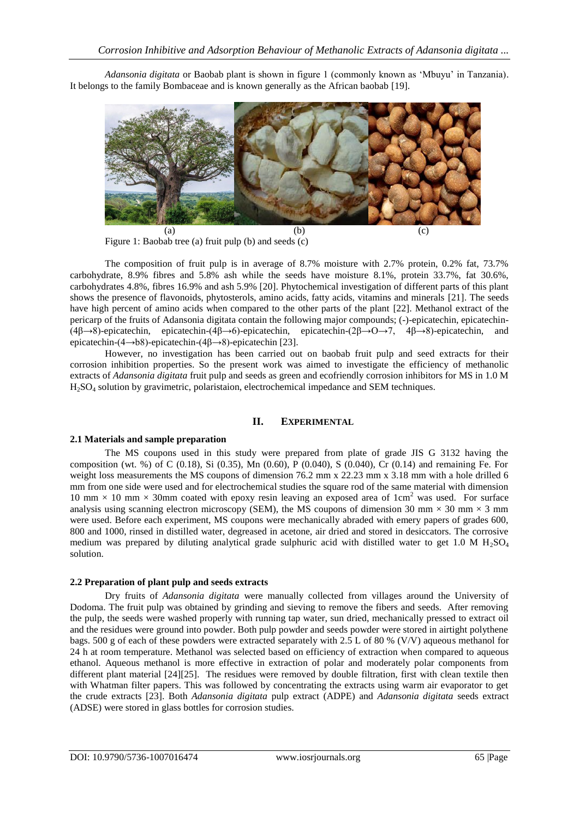*Adansonia digitata* or Baobab plant is shown in figure 1 (commonly known as ‗Mbuyu' in Tanzania). It belongs to the family Bombaceae and is known generally as the African baobab [19].



Figure 1: Baobab tree (a) fruit pulp (b) and seeds (c)

The composition of fruit pulp is in average of 8.7% moisture with 2.7% protein, 0.2% fat, 73.7% carbohydrate, 8.9% fibres and 5.8% ash while the seeds have moisture 8.1%, protein 33.7%, fat 30.6%, carbohydrates 4.8%, fibres 16.9% and ash 5.9% [20]. Phytochemical investigation of different parts of this plant shows the presence of flavonoids, phytosterols, amino acids, fatty acids, vitamins and minerals [21]. The seeds have high percent of amino acids when compared to the other parts of the plant [22]. Methanol extract of the pericarp of the fruits of Adansonia digitata contain the following major compounds; (-)-epicatechin, epicatechin- (4β→8)-epicatechin, epicatechin-(4β→6)-epicatechin, epicatechin-(2β→O→7, 4β→8)-epicatechin, and epicatechin-(4→b8)-epicatechin-(4β→8)-epicatechin [23].

However, no investigation has been carried out on baobab fruit pulp and seed extracts for their corrosion inhibition properties. So the present work was aimed to investigate the efficiency of methanolic extracts of *Adansonia digitata* fruit pulp and seeds as green and ecofriendly corrosion inhibitors for MS in 1.0 M H2SO<sup>4</sup> solution by gravimetric, polaristaion, electrochemical impedance and SEM techniques.

# **II. EXPERIMENTAL**

# **2.1 Materials and sample preparation**

The MS coupons used in this study were prepared from plate of grade JIS G 3132 having the composition (wt. %) of C (0.18), Si (0.35), Mn (0.60), P (0.040), S (0.040), Cr (0.14) and remaining Fe. For weight loss measurements the MS coupons of dimension 76.2 mm x 22.23 mm x 3.18 mm with a hole drilled 6 mm from one side were used and for electrochemical studies the square rod of the same material with dimension 10 mm  $\times$  10 mm  $\times$  30mm coated with epoxy resin leaving an exposed area of 1cm<sup>2</sup> was used. For surface analysis using scanning electron microscopy (SEM), the MS coupons of dimension 30 mm  $\times$  30 mm  $\times$  3 mm were used. Before each experiment, MS coupons were mechanically abraded with emery papers of grades 600, 800 and 1000, rinsed in distilled water, degreased in acetone, air dried and stored in desiccators. The corrosive medium was prepared by diluting analytical grade sulphuric acid with distilled water to get 1.0 M  $H_2SO_4$ solution.

# **2.2 Preparation of plant pulp and seeds extracts**

Dry fruits of *Adansonia digitata* were manually collected from villages around the University of Dodoma. The fruit pulp was obtained by grinding and sieving to remove the fibers and seeds. After removing the pulp, the seeds were washed properly with running tap water, sun dried, mechanically pressed to extract oil and the residues were ground into powder. Both pulp powder and seeds powder were stored in airtight polythene bags. 500 g of each of these powders were extracted separately with 2.5 L of 80 % (V/V) aqueous methanol for 24 h at room temperature. Methanol was selected based on efficiency of extraction when compared to aqueous ethanol. Aqueous methanol is more effective in extraction of polar and moderately polar components from different plant material [24][25]. The residues were removed by double filtration, first with clean textile then with Whatman filter papers. This was followed by concentrating the extracts using warm air evaporator to get the crude extracts [23]. Both *Adansonia digitata* pulp extract (ADPE) and *Adansonia digitata* seeds extract (ADSE) were stored in glass bottles for corrosion studies.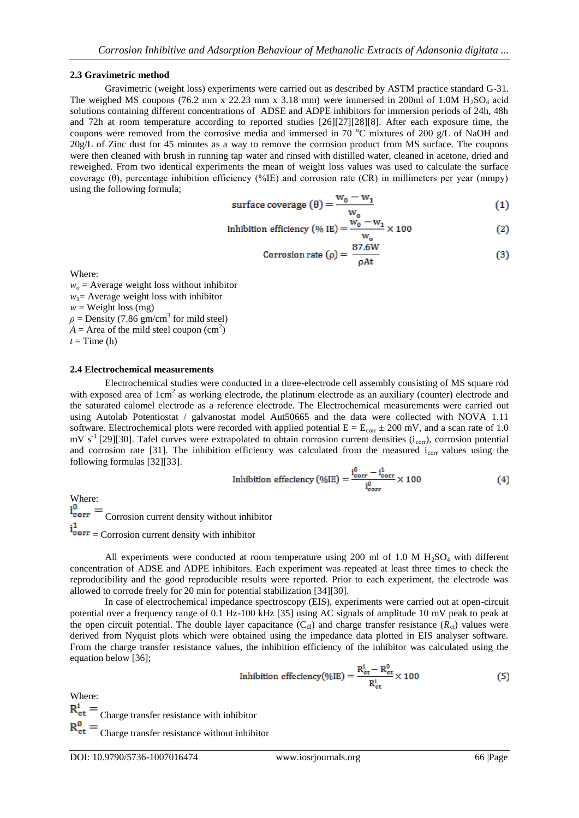#### **2.3 Gravimetric method**

Gravimetric (weight loss) experiments were carried out as described by ASTM practice standard G-31. The weighed MS coupons (76.2 mm x 22.23 mm x 3.18 mm) were immersed in 200ml of 1.0M  $H_2SO_4$  acid solutions containing different concentrations of ADSE and ADPE inhibitors for immersion periods of 24h, 48h and 72h at room temperature according to reported studies [26][27][28][8]. After each exposure time, the coupons were removed from the corrosive media and immersed in 70  $^{\circ}$ C mixtures of 200 g/L of NaOH and 20g/L of Zinc dust for 45 minutes as a way to remove the corrosion product from MS surface. The coupons were then cleaned with brush in running tap water and rinsed with distilled water, cleaned in acetone, dried and reweighed. From two identical experiments the mean of weight loss values was used to calculate the surface coverage (θ), percentage inhibition efficiency (%IE) and corrosion rate (CR) in millimeters per year (mmpy) using the following formula;

surface coverage 
$$
(\theta) = \frac{w_0 - w_1}{w_0}
$$
 (1)

Inhibition efficiency (% IE) = 
$$
\frac{w_0 - w_1}{w_0} \times 100
$$
 (2)

Corrosion rate 
$$
(\rho) = \frac{87.6W}{\rho At}
$$
 (3)

Where:

 $w<sub>o</sub>$  = Average weight loss without inhibitor  $w_1$ = Average weight loss with inhibitor  $w =$ Weight loss (mg)  $\rho$  = Density (7.86 gm/cm<sup>3</sup> for mild steel)  $A =$  Area of the mild steel coupon  $(cm<sup>2</sup>)$  $t =$ Time (h)

#### **2.4 Electrochemical measurements**

Electrochemical studies were conducted in a three-electrode cell assembly consisting of MS square rod with exposed area of  $1 \text{cm}^2$  as working electrode, the platinum electrode as an auxiliary (counter) electrode and the saturated calomel electrode as a reference electrode. The Electrochemical measurements were carried out using Autolab Potentiostat / galvanostat model Aut50665 and the data were collected with NOVA 1.11 software. Electrochemical plots were recorded with applied potential  $E = E_{corr} \pm 200$  mV, and a scan rate of 1.0 mV s<sup>-1</sup> [29][30]. Tafel curves were extrapolated to obtain corrosion current densities  $(i_{\text{corr}})$ , corrosion potential and corrosion rate [31]. The inhibition efficiency was calculated from the measured  $i_{\text{corr}}$  values using the following formulas [32][33].

Inhibition efficiency (%IE) = 
$$
\frac{i_{\text{corr}}^0 - i_{\text{corr}}^1}{i_{\text{corr}}^0} \times 100
$$
 (4)

Where:  $i_{corr}^0$  =  $C$ orrosion current density without inhibitor  $i_{corr}^1$  = Corrosion current density with inhibitor

All experiments were conducted at room temperature using 200 ml of 1.0 M  $H<sub>2</sub>SO<sub>4</sub>$  with different concentration of ADSE and ADPE inhibitors. Each experiment was repeated at least three times to check the reproducibility and the good reproducible results were reported. Prior to each experiment, the electrode was allowed to corrode freely for 20 min for potential stabilization [34][30].

In case of electrochemical impedance spectroscopy (EIS), experiments were carried out at open-circuit potential over a frequency range of 0.1 Hz-100 kHz [35] using AC signals of amplitude 10 mV peak to peak at the open circuit potential. The double layer capacitance  $(C_{d})$  and charge transfer resistance  $(R_{c1})$  values were derived from Nyquist plots which were obtained using the impedance data plotted in EIS analyser software. From the charge transfer resistance values, the inhibition efficiency of the inhibitor was calculated using the equation below [36];

Inhibition efficiency(%IE) = 
$$
\frac{R_{\rm ct}^i - R_{\rm ct}^0}{R_{\rm ct}^i} \times 100
$$
 (5)

Where:

 $R_{ct}^{i}$  = Charge transfer resistance with inhibitor

 $R_{\text{ct}}^{0}$  =  $_{\text{Charge transfer resistance without inhibitor}}$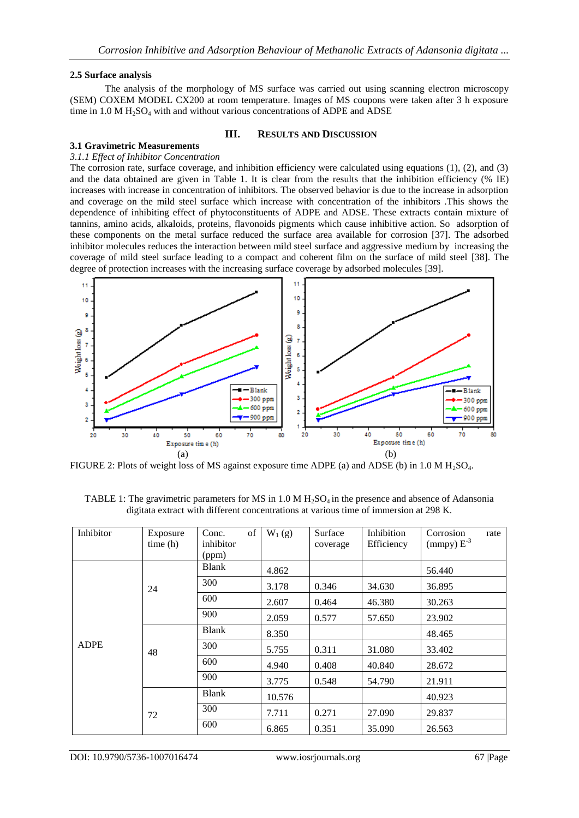### **2.5 Surface analysis**

The analysis of the morphology of MS surface was carried out using scanning electron microscopy (SEM) COXEM MODEL CX200 at room temperature. Images of MS coupons were taken after 3 h exposure time in 1.0 M  $H_2SO_4$  with and without various concentrations of ADPE and ADSE

## **III. RESULTS AND DISCUSSION**

## **3.1 Gravimetric Measurements**

#### *3.1.1 Effect of Inhibitor Concentration*

The corrosion rate, surface coverage, and inhibition efficiency were calculated using equations (1), (2), and (3) and the data obtained are given in Table 1. It is clear from the results that the inhibition efficiency (% IE) increases with increase in concentration of inhibitors. The observed behavior is due to the increase in adsorption and coverage on the mild steel surface which increase with concentration of the inhibitors .This shows the dependence of inhibiting effect of phytoconstituents of ADPE and ADSE. These extracts contain mixture of tannins, amino acids, alkaloids, proteins, flavonoids pigments which cause inhibitive action. So adsorption of these components on the metal surface reduced the surface area available for corrosion [37]. The adsorbed inhibitor molecules reduces the interaction between mild steel surface and aggressive medium by increasing the coverage of mild steel surface leading to a compact and coherent film on the surface of mild steel [38]. The degree of protection increases with the increasing surface coverage by adsorbed molecules [39].



FIGURE 2: Plots of weight loss of MS against exposure time ADPE (a) and ADSE (b) in  $1.0 M H<sub>2</sub>SO<sub>4</sub>$ .

| TABLE 1: The gravimetric parameters for MS in 1.0 M $H_2SO_4$ in the presence and absence of Adansonia |  |
|--------------------------------------------------------------------------------------------------------|--|
| digitate extract with different concentrations at various time of immersion at 298 K.                  |  |

| Inhibitor   | Exposure<br>time(h) | of<br>Conc.<br>inhibitor<br>(ppm) | $W_1(g)$ | Surface<br>coverage | Inhibition<br>Efficiency | Corrosion<br>rate<br>(mmpy) $E^{-3}$ |
|-------------|---------------------|-----------------------------------|----------|---------------------|--------------------------|--------------------------------------|
|             |                     | Blank                             | 4.862    |                     |                          | 56.440                               |
|             | 24                  | 300                               | 3.178    | 0.346               | 34.630                   | 36.895                               |
|             |                     | 600                               | 2.607    | 0.464               | 46.380                   | 30.263                               |
|             |                     | 900                               | 2.059    | 0.577               | 57.650                   | 23.902                               |
| <b>ADPE</b> | 48                  | <b>Blank</b>                      | 8.350    |                     |                          | 48.465                               |
|             |                     | 300                               | 5.755    | 0.311               | 31.080                   | 33.402                               |
|             |                     | 600                               | 4.940    | 0.408               | 40.840                   | 28.672                               |
|             |                     | 900                               | 3.775    | 0.548               | 54.790                   | 21.911                               |
|             | <b>Blank</b>        |                                   | 10.576   |                     |                          | 40.923                               |
|             | 72                  | 300                               | 7.711    | 0.271               | 27.090                   | 29.837                               |
|             |                     | 600                               | 6.865    | 0.351               | 35.090                   | 26.563                               |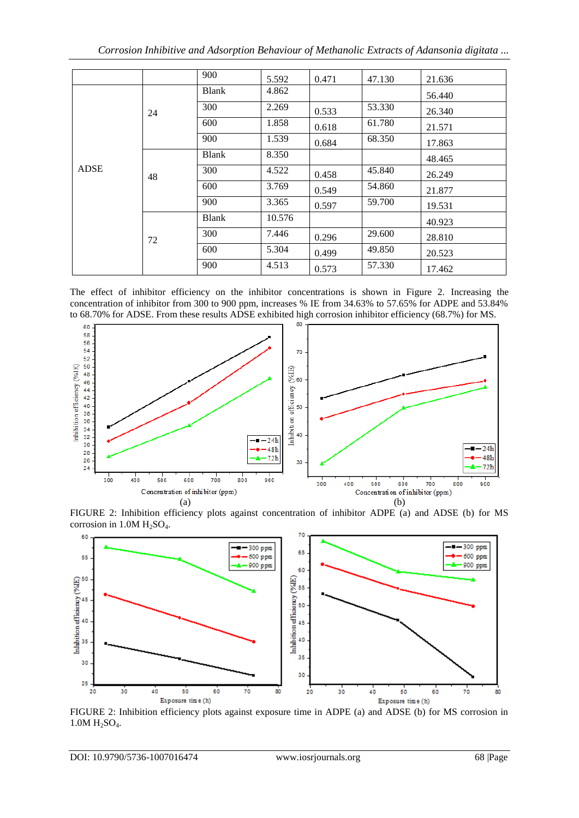|             |    | 900          | 5.592  | 0.471 | 47.130 | 21.636 |
|-------------|----|--------------|--------|-------|--------|--------|
|             |    | <b>Blank</b> | 4.862  |       |        | 56.440 |
|             | 24 | 300          | 2.269  | 0.533 | 53.330 | 26.340 |
|             |    | 600          | 1.858  | 0.618 | 61.780 | 21.571 |
|             |    | 900          | 1.539  | 0.684 | 68.350 | 17.863 |
|             |    | <b>Blank</b> | 8.350  |       |        | 48.465 |
| <b>ADSE</b> | 48 | 300          | 4.522  | 0.458 | 45.840 | 26.249 |
|             |    | 600          | 3.769  | 0.549 | 54.860 | 21.877 |
|             |    | 900          | 3.365  | 0.597 | 59.700 | 19.531 |
|             |    | <b>Blank</b> | 10.576 |       |        | 40.923 |
|             | 72 | 300          | 7.446  | 0.296 | 29.600 | 28.810 |
|             |    | 600          | 5.304  | 0.499 | 49.850 | 20.523 |
|             |    | 900          | 4.513  | 0.573 | 57.330 | 17.462 |

The effect of inhibitor efficiency on the inhibitor concentrations is shown in Figure 2. Increasing the concentration of inhibitor from 300 to 900 ppm, increases % IE from 34.63% to 57.65% for ADPE and 53.84% to 68.70% for ADSE. From these results ADSE exhibited high corrosion inhibitor efficiency (68.7%) for MS.



FIGURE 2: Inhibition efficiency plots against concentration of inhibitor ADPE (a) and ADSE (b) for MS corrosion in  $1.0M H<sub>2</sub>SO<sub>4</sub>$ .



FIGURE 2: Inhibition efficiency plots against exposure time in ADPE (a) and ADSE (b) for MS corrosion in  $1.0M H_2SO_4.$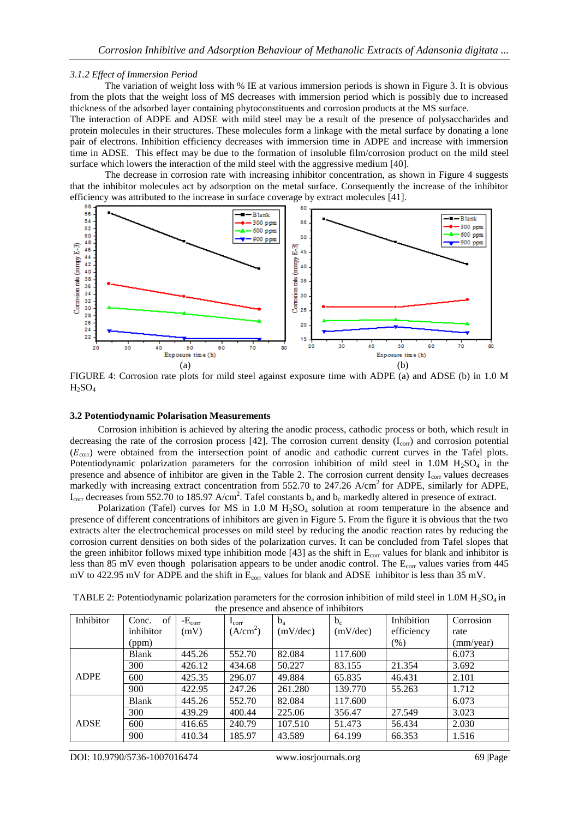#### *3.1.2 Effect of Immersion Period*

The variation of weight loss with % IE at various immersion periods is shown in Figure 3. It is obvious from the plots that the weight loss of MS decreases with immersion period which is possibly due to increased thickness of the adsorbed layer containing phytoconstituents and corrosion products at the MS surface.

The interaction of ADPE and ADSE with mild steel may be a result of the presence of polysaccharides and protein molecules in their structures. These molecules form a linkage with the metal surface by donating a lone pair of electrons. Inhibition efficiency decreases with immersion time in ADPE and increase with immersion time in ADSE. This effect may be due to the formation of insoluble film/corrosion product on the mild steel surface which lowers the interaction of the mild steel with the aggressive medium [40].

The decrease in corrosion rate with increasing inhibitor concentration, as shown in Figure 4 suggests that the inhibitor molecules act by adsorption on the metal surface. Consequently the increase of the inhibitor efficiency was attributed to the increase in surface coverage by extract molecules [41].



FIGURE 4: Corrosion rate plots for mild steel against exposure time with ADPE (a) and ADSE (b) in 1.0 M  $H_2SO_4$ 

#### **3.2 Potentiodynamic Polarisation Measurements**

Corrosion inhibition is achieved by altering the anodic process, cathodic process or both, which result in decreasing the rate of the corrosion process  $[42]$ . The corrosion current density ( $I_{\text{corr}}$ ) and corrosion potential  $(E_{\text{corr}})$  were obtained from the intersection point of anodic and cathodic current curves in the Tafel plots. Potentiodynamic polarization parameters for the corrosion inhibition of mild steel in 1.0M  $H_2SO_4$  in the presence and absence of inhibitor are given in the Table 2. The corrosion current density  $I_{\text{corr}}$  values decreases markedly with increasing extract concentration from 552.70 to 247.26 A/cm<sup>2</sup> for ADPE, similarly for ADPE,  $I_{\rm corr}$  decreases from 552.70 to 185.97 A/cm<sup>2</sup>. Tafel constants  $b_a$  and  $b_c$  markedly altered in presence of extract.

Polarization (Tafel) curves for MS in 1.0 M  $H<sub>2</sub>SO<sub>4</sub>$  solution at room temperature in the absence and presence of different concentrations of inhibitors are given in Figure 5. From the figure it is obvious that the two extracts alter the electrochemical processes on mild steel by reducing the anodic reaction rates by reducing the corrosion current densities on both sides of the polarization curves. It can be concluded from Tafel slopes that the green inhibitor follows mixed type inhibition mode  $[43]$  as the shift in  $E_{\text{corr}}$  values for blank and inhibitor is less than 85 mV even though polarisation appears to be under anodic control. The  $E_{\text{corr}}$  values varies from 445 mV to 422.95 mV for ADPE and the shift in  $E_{corr}$  values for blank and ADSE inhibitor is less than 35 mV.

| Inhibitor   | of<br>Conc.  | $-Ecorr$ | $\mathbf{I}_{\text{corr}}$ | $b_{a}$  | $b_c$    | Inhibition | Corrosion |
|-------------|--------------|----------|----------------------------|----------|----------|------------|-----------|
|             | inhibitor    | (mV)     | (A/cm <sup>2</sup> )       | (mV/dec) | (mV/dec) | efficiency | rate      |
|             | (ppm)        |          |                            |          |          | (% )       | (mm/year) |
|             | <b>Blank</b> | 445.26   | 552.70                     | 82.084   | 117.600  |            | 6.073     |
|             | 300          | 426.12   | 434.68                     | 50.227   | 83.155   | 21.354     | 3.692     |
| <b>ADPE</b> | 600          | 425.35   | 296.07                     | 49.884   | 65.835   | 46.431     | 2.101     |
|             | 900          | 422.95   | 247.26                     | 261.280  | 139.770  | 55.263     | 1.712     |
|             | <b>Blank</b> | 445.26   | 552.70                     | 82.084   | 117.600  |            | 6.073     |
|             | 300          | 439.29   | 400.44                     | 225.06   | 356.47   | 27.549     | 3.023     |
| <b>ADSE</b> | 600          | 416.65   | 240.79                     | 107.510  | 51.473   | 56.434     | 2.030     |
|             | 900          | 410.34   | 185.97                     | 43.589   | 64.199   | 66.353     | 1.516     |

TABLE 2: Potentiodynamic polarization parameters for the corrosion inhibition of mild steel in 1.0M  $H_2SO_4$  in the presence and absence of inhibitors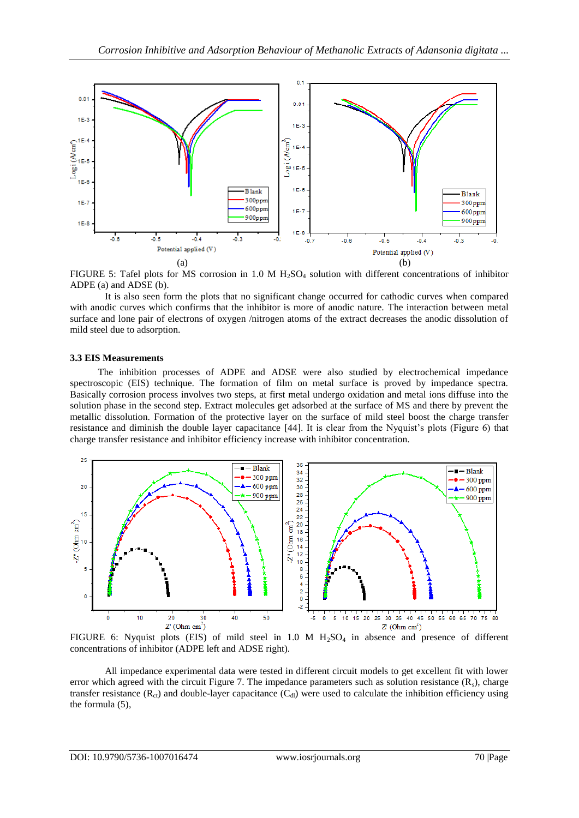

FIGURE 5: Tafel plots for MS corrosion in 1.0 M  $H_2SO_4$  solution with different concentrations of inhibitor ADPE (a) and ADSE (b).

It is also seen form the plots that no significant change occurred for cathodic curves when compared with anodic curves which confirms that the inhibitor is more of anodic nature. The interaction between metal surface and lone pair of electrons of oxygen /nitrogen atoms of the extract decreases the anodic dissolution of mild steel due to adsorption.

### **3.3 EIS Measurements**

The inhibition processes of ADPE and ADSE were also studied by electrochemical impedance spectroscopic (EIS) technique. The formation of film on metal surface is proved by impedance spectra. Basically corrosion process involves two steps, at first metal undergo oxidation and metal ions diffuse into the solution phase in the second step. Extract molecules get adsorbed at the surface of MS and there by prevent the metallic dissolution. Formation of the protective layer on the surface of mild steel boost the charge transfer resistance and diminish the double layer capacitance [44]. It is clear from the Nyquist's plots (Figure 6) that charge transfer resistance and inhibitor efficiency increase with inhibitor concentration.



FIGURE 6: Nyquist plots (EIS) of mild steel in 1.0 M  $H_2SO_4$  in absence and presence of different concentrations of inhibitor (ADPE left and ADSE right).

All impedance experimental data were tested in different circuit models to get excellent fit with lower error which agreed with the circuit Figure 7. The impedance parameters such as solution resistance  $(R_s)$ , charge transfer resistance  $(R_{ct})$  and double-layer capacitance  $(C_{d})$  were used to calculate the inhibition efficiency using the formula (5),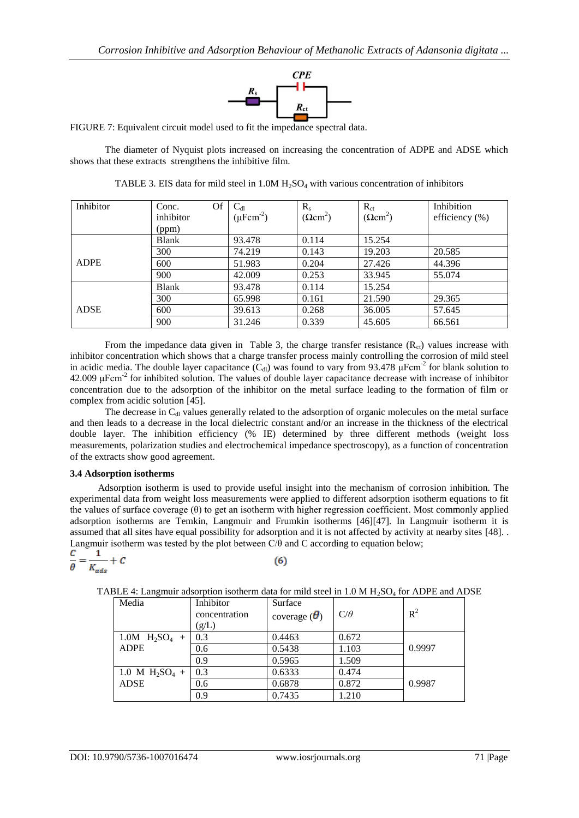

FIGURE 7: Equivalent circuit model used to fit the impedance spectral data.

The diameter of Nyquist plots increased on increasing the concentration of ADPE and ADSE which shows that these extracts strengthens the inhibitive film.

| Inhibitor   | Of<br>Conc.  | $C_{dl}$                | $R_{s}$                | $R_{ct}$               | Inhibition        |
|-------------|--------------|-------------------------|------------------------|------------------------|-------------------|
|             | inhibitor    | $(\mu \text{Fcm}^{-2})$ | $(\Omega \text{cm}^2)$ | $(\Omega \text{cm}^2)$ | efficiency $(\%)$ |
|             | (ppm)        |                         |                        |                        |                   |
|             | <b>Blank</b> | 93.478                  | 0.114                  | 15.254                 |                   |
|             | 300          | 74.219                  | 0.143                  | 19.203                 | 20.585            |
| <b>ADPE</b> | 600          | 51.983                  | 0.204                  | 27.426                 | 44.396            |
|             | 900          | 42.009                  | 0.253                  | 33.945                 | 55.074            |
|             | <b>Blank</b> | 93.478                  | 0.114                  | 15.254                 |                   |
|             | 300          | 65.998                  | 0.161                  | 21.590                 | 29.365            |
| <b>ADSE</b> | 600          | 39.613                  | 0.268                  | 36.005                 | 57.645            |
|             | 900          | 31.246                  | 0.339                  | 45.605                 | 66.561            |

TABLE 3. EIS data for mild steel in  $1.0M H<sub>2</sub>SO<sub>4</sub>$  with various concentration of inhibitors

From the impedance data given in Table 3, the charge transfer resistance  $(R<sub>ct</sub>)$  values increase with inhibitor concentration which shows that a charge transfer process mainly controlling the corrosion of mild steel in acidic media. The double layer capacitance  $(C_{\text{dl}})$  was found to vary from 93.478  $\mu$ Fcm<sup>-2</sup> for blank solution to  $42.009 \mu$ Fcm<sup>-2</sup> for inhibited solution. The values of double layer capacitance decrease with increase of inhibitor concentration due to the adsorption of the inhibitor on the metal surface leading to the formation of film or complex from acidic solution [45].

The decrease in  $C<sub>dl</sub>$  values generally related to the adsorption of organic molecules on the metal surface and then leads to a decrease in the local dielectric constant and/or an increase in the thickness of the electrical double layer. The inhibition efficiency (% IE) determined by three different methods (weight loss measurements, polarization studies and electrochemical impedance spectroscopy), as a function of concentration of the extracts show good agreement.

## **3.4 Adsorption isotherms**

 $\mathcal{C}_{\mathcal{C}}$ 

Adsorption isotherm is used to provide useful insight into the mechanism of corrosion inhibition. The experimental data from weight loss measurements were applied to different adsorption isotherm equations to fit the values of surface coverage (θ) to get an isotherm with higher regression coefficient. Most commonly applied adsorption isotherms are Temkin, Langmuir and Frumkin isotherms [46][47]. In Langmuir isotherm it is assumed that all sites have equal possibility for adsorption and it is not affected by activity at nearby sites [48]. . Langmuir isotherm was tested by the plot between C/θ and C according to equation below;

$$
\frac{C}{\theta} = \frac{1}{K_{ads}} +
$$

 $(6)$ 

| TABLE 4: Langmuir adsorption isotherm data for mild steel in 1.0 M $H_2SO_4$ for ADPE and ADSE |  |  |  |
|------------------------------------------------------------------------------------------------|--|--|--|

| Media             | Inhibitor<br>concentration<br>(g/L) | Surface<br>coverage $(\theta)$ | $C/\theta$ | $R^2$  |
|-------------------|-------------------------------------|--------------------------------|------------|--------|
| 1.0M $H_2SO_4$ +  | 0.3                                 | 0.4463                         | 0.672      |        |
| <b>ADPE</b>       | 0.6                                 | 0.5438                         | 1.103      | 0.9997 |
|                   | 0.9                                 | 0.5965                         | 1.509      |        |
| 1.0 M $H_2SO_4$ + | 0.3                                 | 0.6333                         | 0.474      |        |
| <b>ADSE</b>       | 0.6                                 | 0.6878                         | 0.872      | 0.9987 |
|                   | 0.9                                 | 0.7435                         | 1.210      |        |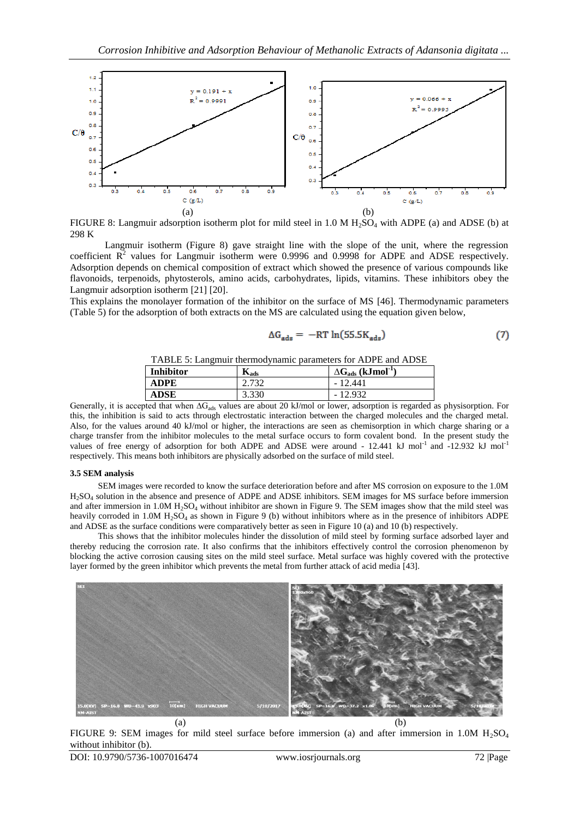

FIGURE 8: Langmuir adsorption isotherm plot for mild steel in  $1.0 M H<sub>2</sub>SO<sub>4</sub>$  with ADPE (a) and ADSE (b) at 298 K

Langmuir isotherm (Figure 8) gave straight line with the slope of the unit, where the regression coefficient  $R^2$  values for Langmuir isotherm were 0.9996 and 0.9998 for ADPE and ADSE respectively. Adsorption depends on chemical composition of extract which showed the presence of various compounds like flavonoids, terpenoids, phytosterols, amino acids, carbohydrates, lipids, vitamins. These inhibitors obey the Langmuir adsorption isotherm [21] [20].

This explains the monolayer formation of the inhibitor on the surface of MS [46]. Thermodynamic parameters (Table 5) for the adsorption of both extracts on the MS are calculated using the equation given below,

$$
\Delta G_{ads} = -RT \ln(55.5K_{ads})
$$
 (7)

TABLE 5: Langmuir thermodynamic parameters for ADPE and ADSE

| <b>Inhibitor</b> | $\mathbf{n}_{ads}$ | $\Delta G_{ads}$ (kJmol <sup>-1</sup> ) |
|------------------|--------------------|-----------------------------------------|
| ADPE             | า 731<br>ے ر       | $-12.441$                               |
| <b>ADSE</b>      | 3.330              | $-12.932$                               |

Generally, it is accepted that when  $\Delta G_{ads}$  values are about 20 kJ/mol or lower, adsorption is regarded as physisorption. For this, the inhibition is said to acts through electrostatic interaction between the charged molecules and the charged metal. Also, for the values around 40 kJ/mol or higher, the interactions are seen as chemisorption in which charge sharing or a charge transfer from the inhibitor molecules to the metal surface occurs to form covalent bond. In the present study the values of free energy of adsorption for both ADPE and ADSE were around - 12.441 kJ mol-1 and -12.932 kJ mol-1 respectively. This means both inhibitors are physically adsorbed on the surface of mild steel.

#### **3.5 SEM analysis**

SEM images were recorded to know the surface deterioration before and after MS corrosion on exposure to the 1.0M H2SO<sup>4</sup> solution in the absence and presence of ADPE and ADSE inhibitors. SEM images for MS surface before immersion and after immersion in  $1.0M H<sub>2</sub>SO<sub>4</sub>$  without inhibitor are shown in Figure 9. The SEM images show that the mild steel was heavily corroded in  $1.0M H_2SO_4$  as shown in Figure 9 (b) without inhibitors where as in the presence of inhibitors ADPE and ADSE as the surface conditions were comparatively better as seen in Figure 10 (a) and 10 (b) respectively.

This shows that the inhibitor molecules hinder the dissolution of mild steel by forming surface adsorbed layer and thereby reducing the corrosion rate. It also confirms that the inhibitors effectively control the corrosion phenomenon by blocking the active corrosion causing sites on the mild steel surface. Metal surface was highly covered with the protective layer formed by the green inhibitor which prevents the metal from further attack of acid media [43].



FIGURE 9: SEM images for mild steel surface before immersion (a) and after immersion in 1.0M  $H_2SO_4$ without inhibitor (b).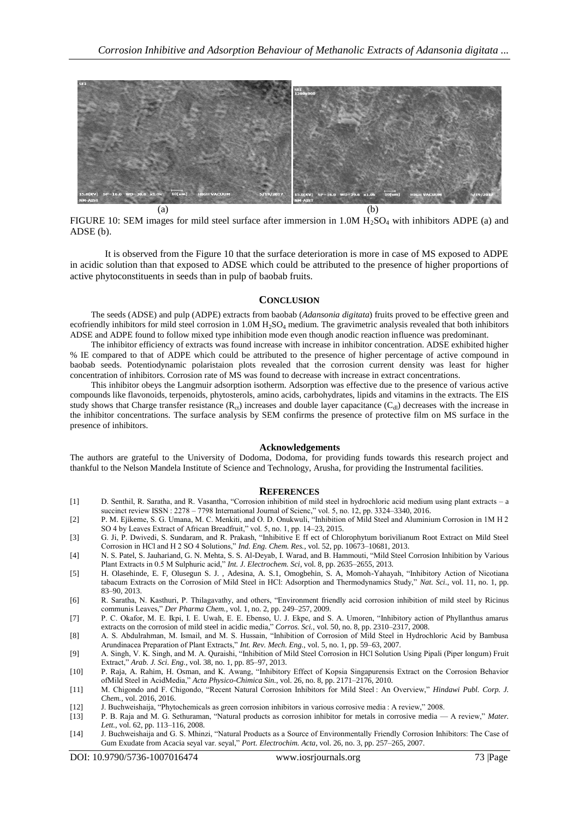

FIGURE 10: SEM images for mild steel surface after immersion in 1.0M  $H_2SO_4$  with inhibitors ADPE (a) and ADSE (b).

It is observed from the Figure 10 that the surface deterioration is more in case of MS exposed to ADPE in acidic solution than that exposed to ADSE which could be attributed to the presence of higher proportions of active phytoconstituents in seeds than in pulp of baobab fruits.

#### **CONCLUSION**

The seeds (ADSE) and pulp (ADPE) extracts from baobab (*Adansonia digitata*) fruits proved to be effective green and ecofriendly inhibitors for mild steel corrosion in  $1.0M H<sub>2</sub>SO<sub>4</sub>$  medium. The gravimetric analysis revealed that both inhibitors ADSE and ADPE found to follow mixed type inhibition mode even though anodic reaction influence was predominant.

The inhibitor efficiency of extracts was found increase with increase in inhibitor concentration. ADSE exhibited higher % IE compared to that of ADPE which could be attributed to the presence of higher percentage of active compound in baobab seeds. Potentiodynamic polaristaion plots revealed that the corrosion current density was least for higher concentration of inhibitors. Corrosion rate of MS was found to decrease with increase in extract concentrations.

This inhibitor obeys the Langmuir adsorption isotherm. Adsorption was effective due to the presence of various active compounds like flavonoids, terpenoids, phytosterols, amino acids, carbohydrates, lipids and vitamins in the extracts. The EIS study shows that Charge transfer resistance  $(R_{ct})$  increases and double layer capacitance  $(C_{d})$  decreases with the increase in the inhibitor concentrations. The surface analysis by SEM confirms the presence of protective film on MS surface in the presence of inhibitors.

#### **Acknowledgements**

The authors are grateful to the University of Dodoma, Dodoma, for providing funds towards this research project and thankful to the Nelson Mandela Institute of Science and Technology, Arusha, for providing the Instrumental facilities.

#### **REFERENCES**

- [1] D. Senthil, R. Saratha, and R. Vasantha, "Corrosion inhibition of mild steel in hydrochloric acid medium using plant extracts a succinct review ISSN : 2278 – 7798 International Journal of Scienc," vol. 5, no. 12, pp. 3324–3340, 2016.
- [2] P. M. Ejikeme, S. G. Umana, M. C. Menkiti, and O. D. Onukwuli, "Inhibition of Mild Steel and Aluminium Corrosion in 1M H 2 SO 4 by Leaves Extract of African Breadfruit," vol. 5, no. 1, pp. 14–23, 2015.
- [3] G. Ji, P. Dwivedi, S. Sundaram, and R. Prakash, "Inhibitive E ff ect of Chlorophytum borivilianum Root Extract on Mild Steel Corrosion in HCl and H 2 SO 4 Solutions," *Ind. Eng. Chem. Res.*, vol. 52, pp. 10673-10681, 2013.
- [4] N. S. Patel, S. Jauhariand, G. N. Mehta, S. S. Al-Deyab, I. Warad, and B. Hammouti, "Mild Steel Corrosion Inhibition by Various Plant Extracts in 0.5 M Sulphuric acid," *Int. J. Electrochem. Sci*, vol. 8, pp. 2635-2655, 2013.
- [5] H. Olasehinde, E. F, Olusegun S. J., Adesina, A. S.1, Omogbehin, S. A, Momoh-Yahayah, "Inhibitory Action of Nicotiana tabacum Extracts on the Corrosion of Mild Steel in HCl: Adsorption and Thermodynamics Study," Nat. Sci., vol. 11, no. 1, pp. 83–90, 2013.
- [6] R. Saratha, N. Kasthuri, P. Thilagavathy, and others, "Environment friendly acid corrosion inhibition of mild steel by Ricinus communis Leaves," *Der Pharma Chem.*, vol. 1, no. 2, pp. 249-257, 2009.
- [7] P. C. Okafor, M. E. Ikpi, I. E. Uwah, E. E. Ebenso, U. J. Ekpe, and S. A. Umoren, "Inhibitory action of Phyllanthus amarus extracts on the corrosion of mild steel in acidic media," *Corros. Sci.*, vol. 50, no. 8, pp. 2310–2317, 2008.
- [8] A. S. Abdulrahman, M. Ismail, and M. S. Hussain, "Inhibition of Corrosion of Mild Steel in Hydrochloric Acid by Bambusa Arundinacea Preparation of Plant Extracts," Int. Rev. Mech. Eng., vol. 5, no. 1, pp. 59-63, 2007.
- [9] A. Singh, V. K. Singh, and M. A. Quraishi, "Inhibition of Mild Steel Corrosion in HCl Solution Using Pipali (Piper longum) Fruit Extract,‖ *Arab. J. Sci. Eng.*, vol. 38, no. 1, pp. 85–97, 2013.
- [10] P. Raja, A. Rahim, H. Osman, and K. Awang, "Inhibitory Effect of Kopsia Singapurensis Extract on the Corrosion Behavior ofMild Steel in AcidMedia," Acta Physico-Chimica Sin., vol. 26, no. 8, pp. 2171-2176, 2010.
- [11] M. Chigondo and F. Chigondo, "Recent Natural Corrosion Inhibitors for Mild Steel : An Overview," *Hindawi Publ. Corp. J. Chem.*, vol. 2016, 2016.
- [12] J. Buchweishaija, "Phytochemicals as green corrosion inhibitors in various corrosive media : A review," 2008.
- [13] P. B. Raja and M. G. Sethuraman, "Natural products as corrosion inhibitor for metals in corrosive media A review," Mater. *Lett.*, vol. 62, pp. 113–116, 2008.
- [14] J. Buchweishaija and G. S. Mhinzi, "Natural Products as a Source of Environmentally Friendly Corrosion Inhibitors: The Case of Gum Exudate from Acacia seyal var. seyal," Port. Electrochim. Acta, vol. 26, no. 3, pp. 257-265, 2007.